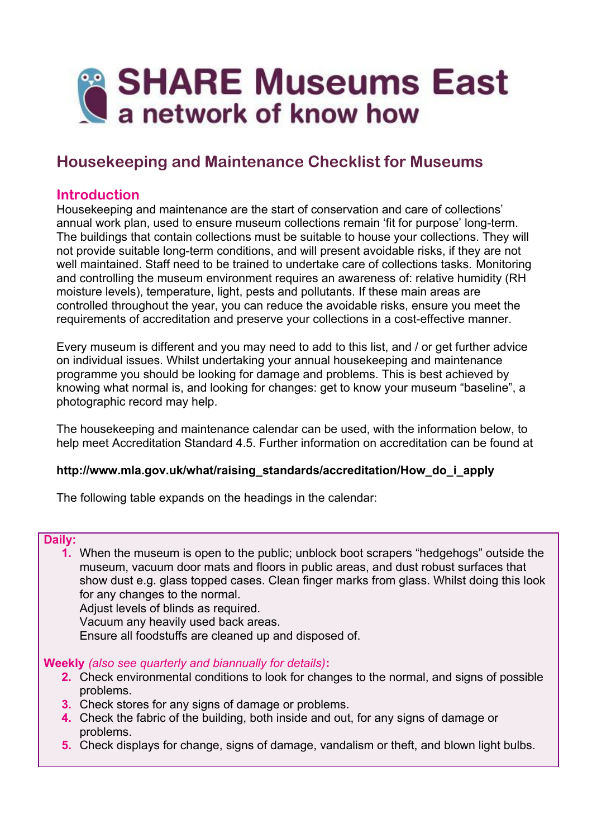

# **Housekeeping and Maintenance Checklist for Museums**

# **Introduction**

Housekeeping and maintenance are the start of conservation and care of collections' annual work plan, used to ensure museum collections remain 'fit for purpose' long-term. The buildings that contain collections must be suitable to house your collections. They will not provide suitable long-term conditions, and will present avoidable risks, if they are not well maintained. Staff need to be trained to undertake care of collections tasks. Monitoring and controlling the museum environment requires an awareness of: relative humidity (RH moisture levels), temperature, light, pests and pollutants. If these main areas are controlled throughout the year, you can reduce the avoidable risks, ensure you meet the requirements of accreditation and preserve your collections in a cost-effective manner.

Every museum is different and you may need to add to this list, and / or get further advice on individual issues. Whilst undertaking your annual housekeeping and maintenance programme you should be looking for damage and problems. This is best achieved by knowing what normal is, and looking for changes: get to know your museum "baseline", a photographic record may help.

The housekeeping and maintenance calendar can be used, with the information below, to help meet Accreditation Standard 4.5. Further information on accreditation can be found at

#### **http://www.mla.gov.uk/what/raising\_standards/accreditation/How\_do\_i\_apply**

The following table expands on the headings in the calendar:

#### **Daily:**

**1.** When the museum is open to the public; unblock boot scrapers "hedgehogs" outside the museum, vacuum door mats and floors in public areas, and dust robust surfaces that show dust e.g. glass topped cases. Clean finger marks from glass. Whilst doing this look for any changes to the normal.

Adjust levels of blinds as required.

Vacuum any heavily used back areas.

Ensure all foodstuffs are cleaned up and disposed of.

**Weekly** *(also see quarterly and biannually for details)***:**

- **2.** Check environmental conditions to look for changes to the normal, and signs of possible problems.
- **3.** Check stores for any signs of damage or problems.
- **4.** Check the fabric of the building, both inside and out, for any signs of damage or problems.
- **5.** Check displays for change, signs of damage, vandalism or theft, and blown light bulbs.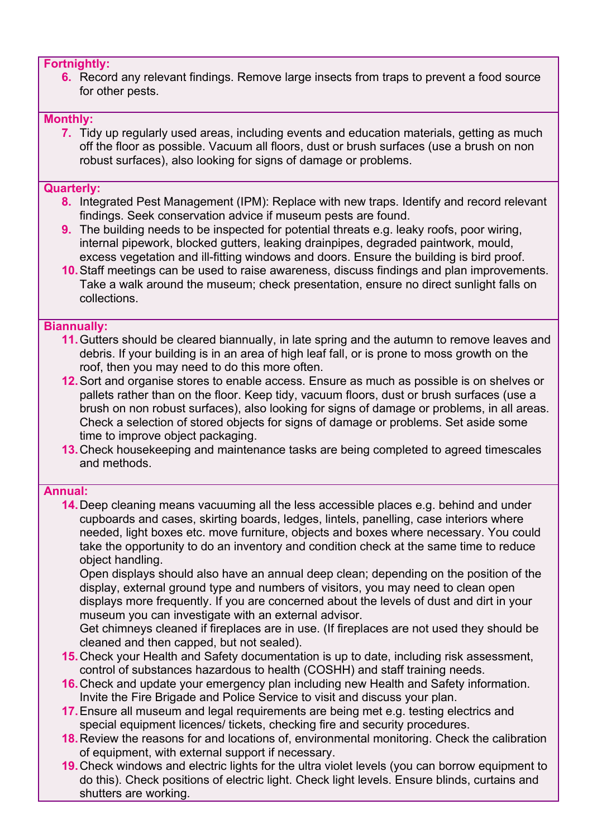### **Fortnightly:**

**6.** Record any relevant findings. Remove large insects from traps to prevent a food source for other pests.

# **Monthly:**

**7.** Tidy up regularly used areas, including events and education materials, getting as much off the floor as possible. Vacuum all floors, dust or brush surfaces (use a brush on non robust surfaces), also looking for signs of damage or problems.

## **Quarterly:**

- **8.** Integrated Pest Management (IPM): Replace with new traps. Identify and record relevant findings. Seek conservation advice if museum pests are found.
- **9.** The building needs to be inspected for potential threats e.g. leaky roofs, poor wiring, internal pipework, blocked gutters, leaking drainpipes, degraded paintwork, mould, excess vegetation and ill-fitting windows and doors. Ensure the building is bird proof.
- **10.**Staff meetings can be used to raise awareness, discuss findings and plan improvements. Take a walk around the museum; check presentation, ensure no direct sunlight falls on collections.

### **Biannually:**

- **11.**Gutters should be cleared biannually, in late spring and the autumn to remove leaves and debris. If your building is in an area of high leaf fall, or is prone to moss growth on the roof, then you may need to do this more often.
- **12.**Sort and organise stores to enable access. Ensure as much as possible is on shelves or pallets rather than on the floor. Keep tidy, vacuum floors, dust or brush surfaces (use a brush on non robust surfaces), also looking for signs of damage or problems, in all areas. Check a selection of stored objects for signs of damage or problems. Set aside some time to improve object packaging.
- **13.**Check housekeeping and maintenance tasks are being completed to agreed timescales and methods.

# **Annual:**

**14.**Deep cleaning means vacuuming all the less accessible places e.g. behind and under cupboards and cases, skirting boards, ledges, lintels, panelling, case interiors where needed, light boxes etc. move furniture, objects and boxes where necessary. You could take the opportunity to do an inventory and condition check at the same time to reduce object handling.

Open displays should also have an annual deep clean; depending on the position of the display, external ground type and numbers of visitors, you may need to clean open displays more frequently. If you are concerned about the levels of dust and dirt in your museum you can investigate with an external advisor.

Get chimneys cleaned if fireplaces are in use. (If fireplaces are not used they should be cleaned and then capped, but not sealed).

- **15.**Check your Health and Safety documentation is up to date, including risk assessment, control of substances hazardous to health (COSHH) and staff training needs.
- **16.**Check and update your emergency plan including new Health and Safety information. Invite the Fire Brigade and Police Service to visit and discuss your plan.
- **17.**Ensure all museum and legal requirements are being met e.g. testing electrics and special equipment licences/ tickets, checking fire and security procedures.
- **18.**Review the reasons for and locations of, environmental monitoring. Check the calibration of equipment, with external support if necessary.
- **19.**Check windows and electric lights for the ultra violet levels (you can borrow equipment to do this). Check positions of electric light. Check light levels. Ensure blinds, curtains and shutters are working.